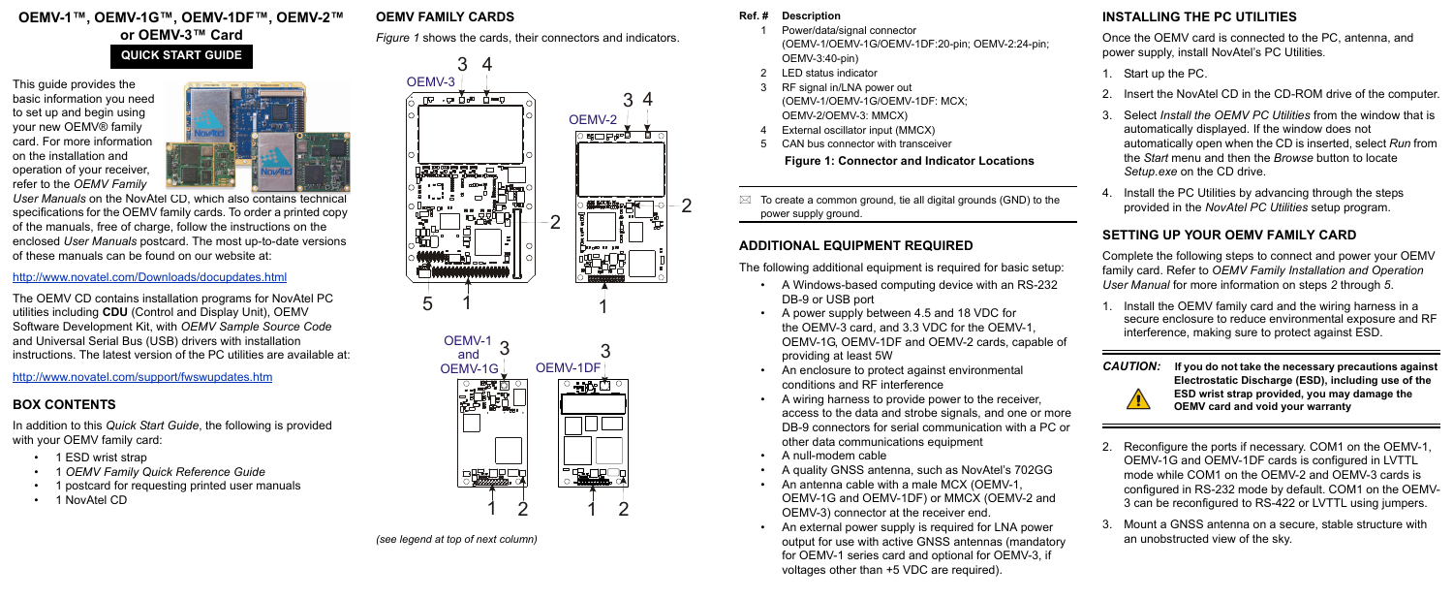## **OEMV-1™, OEMV-1G™, OEMV-1DF™, OEMV-2™ or OEMV-3™ Card**

This guide provides the basic information you need to set up and begin using your new OEMV® family card. For more information on the installation and operation of your receiver, refer to the *OEMV Family* 



*User Manuals* [on the NovAtel CD, which also contains technical](http://www.novatel.com/support/docupdates.htm)  [specifications for the OEMV family cards. To order a printed copy](http://www.novatel.com/support/docupdates.htm)  of the manuals, free of charge, follow the instructions on the [enclosed](http://www.novatel.com/support/docupdates.htm) *User Manuals* postcard. The most up-to-date versions of these manuals can be found on our website at:

In addition to this *Quick Start Guide*, the following is provided with your OEMV family card:

#### http://www.novatel.com/Downloads/docupdates.html

- 1 ESD wrist strap
- *•* 1 *OEMV Family Quick Reference Guide*
- *•* 1 postcard for requesting printed user manuals
- 1 NovAtel CD

The OEMV CD contains installation programs for NovAtel PC utilities including **CDU** (Control and Display Unit), OEMV Software Development Kit, with *OEMV Sample Source Code* and Universal Serial Bus (USB) drivers with installation instructions. The latest version of the PC utilities are available at:

- Power/data/signal connector (OEMV-1/OEMV-1G/OEMV-1DF:20-pin; OEMV-2:24-pin; OEMV-3:40-pin)
- 2 LED status indicator
- RF signal in/LNA power out (OEMV-1/OEMV-1G/OEMV-1DF: MCX; OEMV-2/OEMV-3: MMCX)
- External oscillator input (MMCX)
- <span id="page-0-0"></span>5 CAN bus connector with transceiver

 $\boxtimes$  To create a common ground, tie all digital grounds (GND) to the power supply ground.

http://www.novatel.com/support/fwswupdates.htm

## **BOX CONTENTS**

## **OEMV FAMILY CARDS**

*[Figure 1](#page-0-0)* shows the cards, their connectors and indicators.

*(see legend at top of next column)*

#### **Ref. # Description**

## **Figure 1: Connector and Indicator Locations**

# **ADDITIONAL EQUIPMENT REQUIRED**

The following additional equipment is required for basic setup:

- A Windows-based computing device with an RS-232 DB-9 or USB port
- A power supply between 4.5 and 18 VDC for the OEMV-3 card, and 3.3 VDC for the OEMV-1, OEMV-1G, OEMV-1DF and OEMV-2 cards, capable of providing at least 5W
- An enclosure to protect against environmental conditions and RF interference
- A wiring harness to provide power to the receiver, access to the data and strobe signals, and one or more DB-9 connectors for serial communication with a PC or other data communications equipment
- A null-modem cable
- A quality GNSS antenna, such as NovAtel's 702GG
- An antenna cable with a male MCX (OEMV-1, OEMV-1G and OEMV-1DF) or MMCX (OEMV-2 and OEMV-3) connector at the receiver end.
- An external power supply is required for LNA power output for use with active GNSS antennas (mandatory for OEMV-1 series card and optional for OEMV-3, if voltages other than +5 VDC are required).

## **INSTALLING THE PC UTILITIES**

Once the OEMV card is connected to the PC, antenna, and power supply, install NovAtel's PC Utilities*.*

- 1. Start up the PC.
- 2. Insert the NovAtel CD in the CD-ROM drive of the computer.
- 3. Select *Install the OEMV PC Utilities* from the window that is automatically displayed. If the window does not automatically open when the CD is inserted, select *Run* from the *Start* menu and then the *Browse* button to locate *Setup.exe* on the CD drive.
- 4. Install the PC Utilities by advancing through the steps provided in the *NovAtel PC Utilities* setup program.

## **SETTING UP YOUR OEMV FAMILY CARD**

Complete the following steps to connect and power your OEMV family card. Refer to *OEMV Family Installation and Operation User Manual* for more information on steps *2* through *5*.

1. Install the OEMV family card and the wiring harness in a secure enclosure to reduce environmental exposure and RF interference, making sure to protect against ESD.



*CAUTION:* **If you do not take the necessary precautions against Electrostatic Discharge (ESD), including use of the ESD wrist strap provided, you may damage the OEMV card and void your warranty**

- 2. Reconfigure the ports if necessary. COM1 on the OEMV-1, OEMV-1G and OEMV-1DF cards is configured in LVTTL mode while COM1 on the OEMV-2 and OEMV-3 cards is configured in RS-232 mode by default. COM1 on the OEMV-3 can be reconfigured to RS-422 or LVTTL using jumpers.
- 3. Mount a GNSS antenna on a secure, stable structure with an unobstructed view of the sky.

# **QUICK START GUIDE**



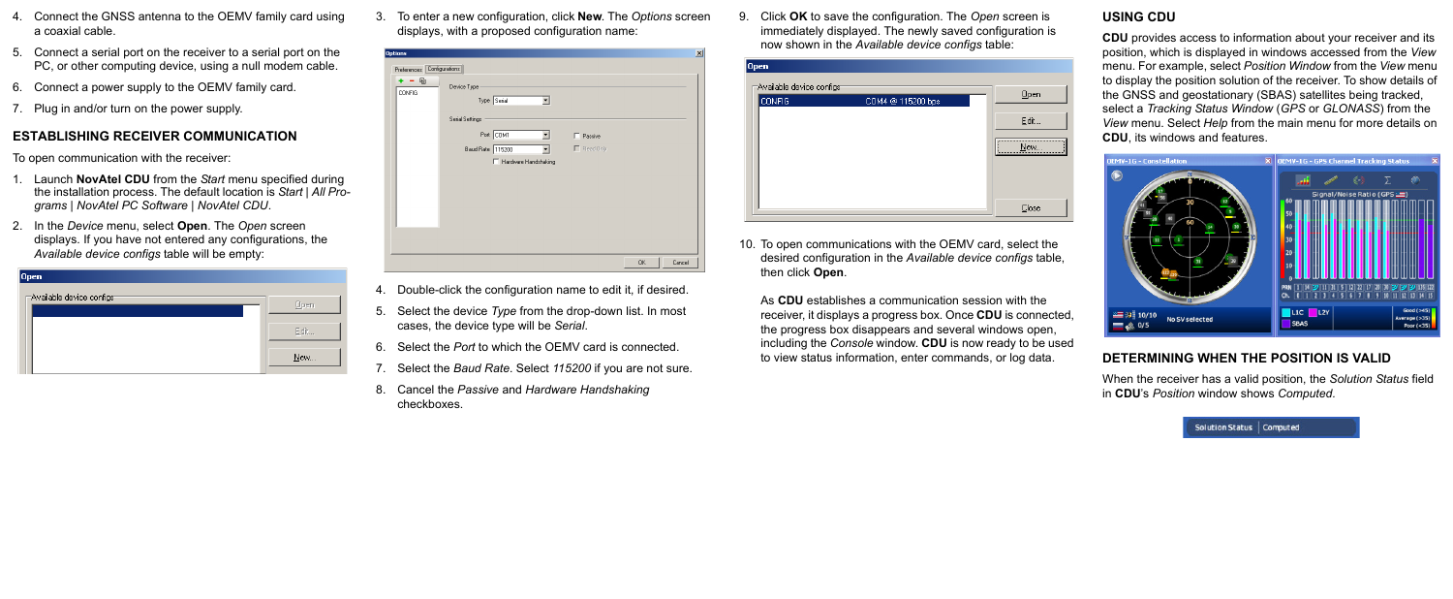- 4. Connect the GNSS antenna to the OEMV family card using a coaxial cable.
- 5. Connect a serial port on the receiver to a serial port on the PC, or other computing device, using a null modem cable.
- 6. Connect a power supply to the OEMV family card.
- 7. Plug in and/or turn on the power supply.

## **ESTABLISHING RECEIVER COMMUNICATION**

To open communication with the receiver:

- 1. Launch **NovAtel CDU** from the *Start* menu specified during the installation process. The default location is *Start | All Programs | NovAtel PC Software | NovAtel CDU*.
- 2. In the *Device* menu, select **Open**. The *Open* screen displays. If you have not entered any configurations, the *Available device configs* table will be empty:

| Open                      |      |
|---------------------------|------|
| Available device configst |      |
|                           | Open |
|                           |      |
|                           | Edit |
|                           |      |
|                           | New  |
|                           |      |

3. To enter a new configuration, click **New**. The *Options* screen displays, with a proposed configuration name:

| <b>Options</b><br>Preferences [Configurations] |                                                                                                                                                                             | $\vert x \vert$ |
|------------------------------------------------|-----------------------------------------------------------------------------------------------------------------------------------------------------------------------------|-----------------|
| 自<br>CONFIG                                    | Device Type<br>Type Serial<br>Serial Settings<br>Port COM1<br>$\blacktriangledown$<br>$\Box$ Passive<br>$\Box$ Read Only<br>Baud Rate 115200<br>۰<br>F Hardware Handshaking |                 |
|                                                | 0K                                                                                                                                                                          | Cancel          |

- 4. Double-click the configuration name to edit it, if desired.
- 5. Select the device *Type* from the drop-down list. In most cases, the device type will be *Serial*.
- 6. Select the *Port* to which the OEMV card is connected.
- 7. Select the *Baud Rate*. Select *115200* if you are not sure.
- 8. Cancel the *Passive* and *Hardware Handshaking* checkboxes.

9. Click **OK** to save the configuration. The *Open* screen is immediately displayed. The newly saved configuration is now shown in the *Available device configs* table:

| Available device configs: | Qpen |
|---------------------------|------|
| COM4 @ 115200 bps         |      |
|                           | Edit |
|                           | New  |
|                           |      |
|                           |      |
|                           |      |

10. To open communications with the OEMV card, select the desired configuration in the *Available device configs* table, then click **Open**.

As **CDU** establishes a communication session with the receiver, it displays a progress box. Once **CDU** is connected, the progress box disappears and several windows open, including the *Console* window. **CDU** is now ready to be used to view status information, enter commands, or log data.

## **USING CDU**

**CDU** provides access to information about your receiver and its position, which is displayed in windows accessed from the *View* menu. For example, select *Position Window* from the *View* menu to display the position solution of the receiver. To show details of the GNSS and geostationary (SBAS) satellites being tracked, select a *Tracking Status Window* (*GPS* or *GLONASS*) from the *View* menu. Select *Help* from the main menu for more details on **CDU**, its windows and features.



# **DETERMINING WHEN THE POSITION IS VALID**

When the receiver has a valid position, the *Solution Status* field in **CDU**'s *Position* window shows *Computed.*

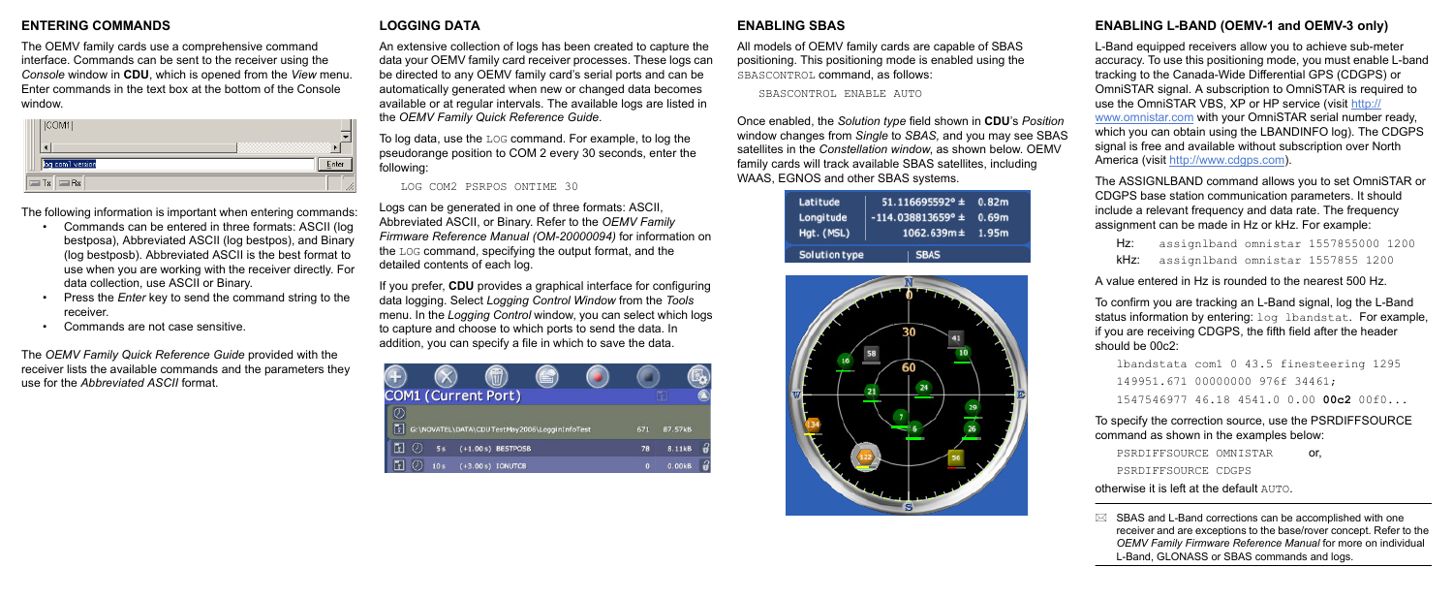## **ENTERING COMMANDS**

The OEMV family cards use a comprehensive command interface. Commands can be sent to the receiver using the *Console* window in **CDU**, which is opened from the *View* menu. Enter commands in the text box at the bottom of the Console window.

| [COM1]           |  |
|------------------|--|
|                  |  |
| log com1 version |  |
| $=$ Tx $=$ Rx    |  |

The following information is important when entering commands:

- Commands can be entered in three formats: ASCII (log bestposa), Abbreviated ASCII (log bestpos), and Binary (log bestposb). Abbreviated ASCII is the best format to use when you are working with the receiver directly. For data collection, use ASCII or Binary.
- Press the *Enter* key to send the command string to the receiver.
- Commands are not case sensitive.

The *OEMV Family Quick Reference Guide* provided with the receiver lists the available commands and the parameters they use for the *Abbreviated ASCII* format.

## **LOGGING DATA**

An extensive collection of logs has been created to capture the data your OEMV family card receiver processes. These logs can be directed to any OEMV family card's serial ports and can be automatically generated when new or changed data becomes available or at regular intervals. The available logs are listed in the *OEMV Family Quick Reference Guide*.

To log data, use the LOG command. For example, to log the pseudorange position to COM 2 every 30 seconds, enter the following:

LOG COM2 PSRPOS ONTIME 30

Logs can be generated in one of three formats: ASCII, Abbreviated ASCII, or Binary. Refer to the *OEMV Family Firmware Reference Manual (OM-20000094)* for information on the LOG command, specifying the output format, and the detailed contents of each log.

Hz: assignlband omnistar 1557855000 1200 kHz: assignlband omnistar 1557855 1200

If you prefer, **CDU** provides a graphical interface for configuring data logging. Select *Logging Control Window* from the *Tools* menu. In the *Logging Control* window, you can select which logs to capture and choose to which ports to send the data. In addition, you can specify a file in which to save the data.

| <b>COM1 (Current Port)</b> |                 |                      |                                               |             |         |  |
|----------------------------|-----------------|----------------------|-----------------------------------------------|-------------|---------|--|
|                            |                 |                      |                                               |             |         |  |
| F                          |                 |                      | G:\NOVATEL\DATA\CDUTestMay2006\LogginInfoTest | 671         | 87.57kB |  |
| F.                         |                 | $(+1.00 s)$ BESTPOSB |                                               | 78          | 8.11kB  |  |
| ٦1                         | 10 <sub>s</sub> | $(+3.00 s)$ IONUTCB  |                                               | $\mathbf o$ | 0.00kB  |  |

```
PSRDIFFSOURCE OMNISTAR or,
PSRDIFFSOURCE CDGPS
```
#### **ENABLING SBAS**

 $\boxtimes$  SBAS and L-Band corrections can be accomplished with one receiver and are exceptions to the base/rover concept. Refer to the *OEMV Family Firmware Reference Manual* for more on individual L-Band, GLONASS or SBAS commands and logs.

All models of OEMV family cards are capable of SBAS positioning. This positioning mode is enabled using the SBASCONTROL command, as follows:

SBASCONTROL ENABLE AUTO

Once enabled, the *Solution type* field shown in **CDU**'s *Position* window changes from *Single* to *SBAS,* and you may see SBAS satellites in the *Constellation window*, as shown below. OEMV family cards will track available SBAS satellites, including WAAS, EGNOS and other SBAS systems.

| Latitude<br>Longitude<br>Hgt. (MSL) | $51.116695592° \pm 0.82m$<br>$-114.038813659^{\circ} \pm 0.69m$<br>$1062.639m \pm 1.95m$ |  |
|-------------------------------------|------------------------------------------------------------------------------------------|--|
| Solution type                       | <b>SBAS</b>                                                                              |  |



## **ENABLING L-BAND (OEMV-1 and OEMV-3 only)**

L-Band equipped receivers allow you to achieve sub-meter accuracy. To use this positioning mode, you must enable L-band tracking to the Canada-Wide Differential GPS (CDGPS) or OmniSTAR signal. A subscription to OmniSTAR is required to use the OmniSTAR VBS, XP or HP service (visit [http://](http://www.omnistar.com/) [www.omnistar.com](http://www.omnistar.com/) with your OmniSTAR serial number ready, which you can obtain using the LBANDINFO log). The CDGPS signal is free and available without subscription over North America (visit http://www.cdgps.com).

The ASSIGNLBAND command allows you to set OmniSTAR or CDGPS base station communication parameters. It should include a relevant frequency and data rate. The frequency assignment can be made in Hz or kHz. For example:

A value entered in Hz is rounded to the nearest 500 Hz.

To confirm you are tracking an L-Band signal, log the L-Band status information by entering: log lbandstat. For example, if you are receiving CDGPS, the fifth field after the header should be 00c2:

```
lbandstata com1 0 43.5 finesteering 1295
149951.671 00000000 976f 34461; 
1547546977 46.18 4541.0 0.00 00c2 00f0...
```
To specify the correction source, use the PSRDIFFSOURCE command as shown in the examples below:

otherwise it is left at the default AUTO.